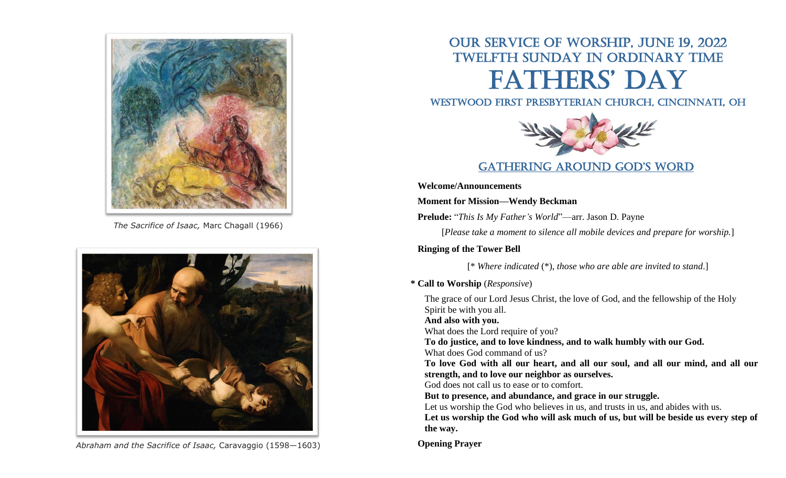

*The Sacrifice of Isaac,* Marc Chagall (1966)



*Abraham and the Sacrifice of Isaac,* Caravaggio (1598—1603)

# Our Service of Worship, June 19, 2022 Twelfth Sunday in Ordinary time FATHERS' DAY

### Westwood First Presbyterian Church, Cincinnati, OH



### GATHERING AROUND GOD'S WORD

**Welcome/Announcements**

**Moment for Mission—Wendy Beckman**

**Prelude:** "*This Is My Father's World*"—arr. Jason D. Payne

[*Please take a moment to silence all mobile devices and prepare for worship.*]

**Ringing of the Tower Bell**

[\* *Where indicated* (\*), *those who are able are invited to stand*.]

**\* Call to Worship** (*Responsive*)

The grace of our Lord Jesus Christ, the love of God, and the fellowship of the Holy Spirit be with you all. **And also with you.** What does the Lord require of you? **To do justice, and to love kindness, and to walk humbly with our God.** What does God command of us? **To love God with all our heart, and all our soul, and all our mind, and all our strength, and to love our neighbor as ourselves.** God does not call us to ease or to comfort. **But to presence, and abundance, and grace in our struggle.** Let us worship the God who believes in us, and trusts in us, and abides with us. **Let us worship the God who will ask much of us, but will be beside us every step of the way.**

**Opening Prayer**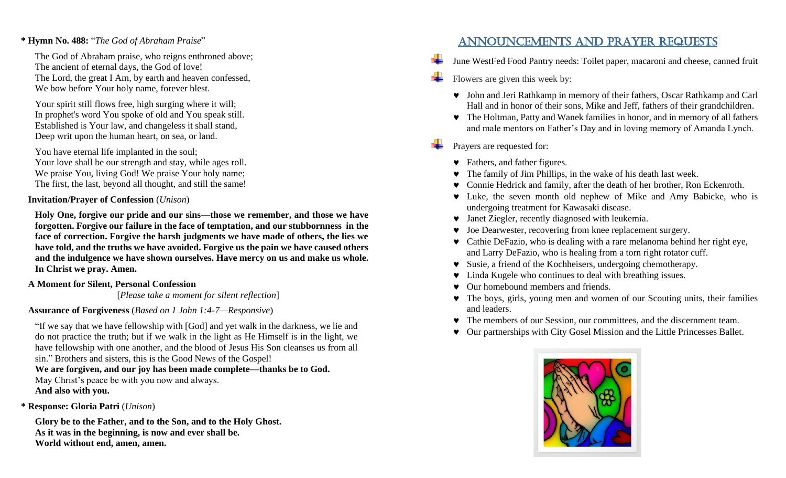### **\* Hymn No. 488:** "*The God of Abraham Praise*"

The God of Abraham praise, who reigns enthroned above; The ancient of eternal days, the God of love! The Lord, the great I Am, by earth and heaven confessed, We bow before Your holy name, forever blest.

Your spirit still flows free, high surging where it will; In prophet's word You spoke of old and You speak still. Established is Your law, and changeless it shall stand, Deep writ upon the human heart, on sea, or land.

You have eternal life implanted in the soul; Your love shall be our strength and stay, while ages roll. We praise You, living God! We praise Your holy name; The first, the last, beyond all thought, and still the same!

### **Invitation/Prayer of Confession** (*Unison*)

**Holy One, forgive our pride and our sins—those we remember, and those we have forgotten. Forgive our failure in the face of temptation, and our stubbornness in the face of correction. Forgive the harsh judgments we have made of others, the lies we have told, and the truths we have avoided. Forgive us the pain we have caused others and the indulgence we have shown ourselves. Have mercy on us and make us whole. In Christ we pray. Amen.**

### **A Moment for Silent, Personal Confession**

[*Please take a moment for silent reflection*]

### **Assurance of Forgiveness** (*Based on 1 John 1:4-7—Responsive*)

"If we say that we have fellowship with [God] and yet walk in the darkness, we lie and do not practice the truth; but if we walk in the light as He Himself is in the light, we have fellowship with one another, and the blood of Jesus His Son cleanses us from all sin." Brothers and sisters, this is the Good News of the Gospel!

#### **We are forgiven, and our joy has been made complete—thanks be to God.**  May Christ's peace be with you now and always. **And also with you.**

**\* Response: Gloria Patri** (*Unison*)

**Glory be to the Father, and to the Son, and to the Holy Ghost. As it was in the beginning, is now and ever shall be. World without end, amen, amen.**

### Announcements and Prayer Requests

- June WestFed Food Pantry needs: Toilet paper, macaroni and cheese, canned fruit
- Flowers are given this week by:
	- John and Jeri Rathkamp in memory of their fathers, Oscar Rathkamp and Carl Hall and in honor of their sons, Mike and Jeff, fathers of their grandchildren.
	- The Holtman, Patty and Wanek families in honor, and in memory of all fathers and male mentors on Father's Day and in loving memory of Amanda Lynch.
- Prayers are requested for:
	- Fathers, and father figures.
	- The family of Jim Phillips, in the wake of his death last week.
	- Connie Hedrick and family, after the death of her brother, Ron Eckenroth.
	- Luke, the seven month old nephew of Mike and Amy Babicke, who is undergoing treatment for Kawasaki disease.
	- Janet Ziegler, recently diagnosed with leukemia.
	- Joe Dearwester, recovering from knee replacement surgery.
	- Cathie DeFazio, who is dealing with a rare melanoma behind her right eye, and Larry DeFazio, who is healing from a torn right rotator cuff.
	- Susie, a friend of the Kochheisers, undergoing chemotherapy.
	- Linda Kugele who continues to deal with breathing issues.
	- Our homebound members and friends.
	- The boys, girls, young men and women of our Scouting units, their families and leaders.
	- The members of our Session, our committees, and the discernment team.
	- Our partnerships with City Gosel Mission and the Little Princesses Ballet.

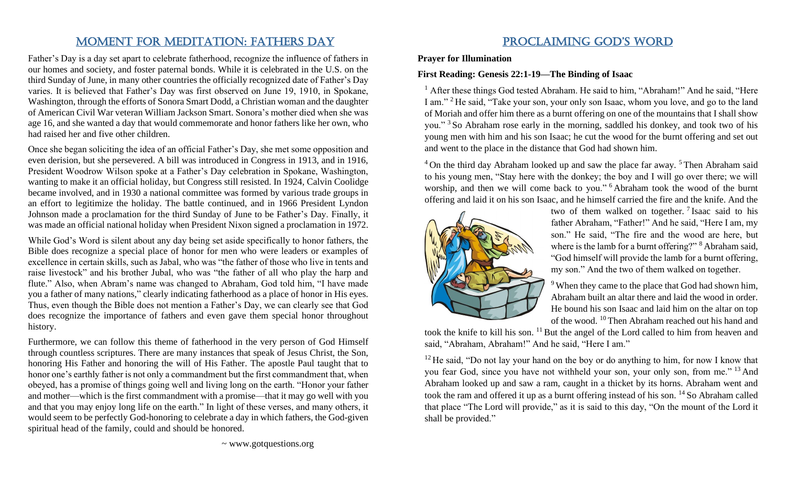# MOMENT FOR MEDITATION: FATHERS DAY

Father's Day is a day set apart to celebrate fatherhood, recognize the influence of fathers in our homes and society, and foster paternal bonds. While it is celebrated in the U.S. on the third Sunday of June, in many other countries the officially recognized date of Father's Day varies. It is believed that Father's Day was first observed on June 19, 1910, in Spokane, Washington, through the efforts of Sonora Smart Dodd, a Christian woman and the daughter of American Civil War veteran William Jackson Smart. Sonora's mother died when she was age 16, and she wanted a day that would commemorate and honor fathers like her own, who had raised her and five other children.

Once she began soliciting the idea of an official Father's Day, she met some opposition and even derision, but she persevered. A bill was introduced in Congress in 1913, and in 1916, President Woodrow Wilson spoke at a Father's Day celebration in Spokane, Washington, wanting to make it an official holiday, but Congress still resisted. In 1924, Calvin Coolidge became involved, and in 1930 a national committee was formed by various trade groups in an effort to legitimize the holiday. The battle continued, and in 1966 President Lyndon Johnson made a proclamation for the third Sunday of June to be Father's Day. Finally, it was made an official national holiday when President Nixon signed a proclamation in 1972.

While God's Word is silent about any day being set aside specifically to honor fathers, the Bible does recognize a special place of honor for men who were leaders or examples of excellence in certain skills, such as Jabal, who was "the father of those who live in tents and raise livestock" and his brother Jubal, who was "the father of all who play the harp and flute." Also, when Abram's name was changed to Abraham, God told him, "I have made you a father of many nations," clearly indicating fatherhood as a place of honor in His eyes. Thus, even though the Bible does not mention a Father's Day, we can clearly see that God does recognize the importance of fathers and even gave them special honor throughout history.

Furthermore, we can follow this theme of fatherhood in the very person of God Himself through countless scriptures. There are many instances that speak of Jesus Christ, the Son, honoring His Father and honoring the will of His Father. The apostle Paul taught that to honor one's earthly father is not only a commandment but the first commandment that, when obeyed, has a promise of things going well and living long on the earth. "Honor your father and mother—which is the first commandment with a promise—that it may go well with you and that you may enjoy long life on the earth." In light of these verses, and many others, it would seem to be perfectly God-honoring to celebrate a day in which fathers, the God-given spiritual head of the family, could and should be honored.

# PROCLAIMING GOD'S WORD

**Prayer for Illumination** 

#### **First Reading: Genesis 22:1-19—The Binding of Isaac**

 $<sup>1</sup>$  After these things God tested Abraham. He said to him, "Abraham!" And he said, "Here</sup> I am." <sup>2</sup> He said, "Take your son, your only son Isaac, whom you love, and go to the land of Moriah and offer him there as a burnt offering on one of the mountains that I shall show you." <sup>3</sup> So Abraham rose early in the morning, saddled his donkey, and took two of his young men with him and his son Isaac; he cut the wood for the burnt offering and set out and went to the place in the distance that God had shown him.

 $4$  On the third day Abraham looked up and saw the place far away.  $5$  Then Abraham said to his young men, "Stay here with the donkey; the boy and I will go over there; we will worship, and then we will come back to you."<sup>6</sup> Abraham took the wood of the burnt offering and laid it on his son Isaac, and he himself carried the fire and the knife. And the



two of them walked on together.  $\frac{7}{1}$  Isaac said to his father Abraham, "Father!" And he said, "Here I am, my son." He said, "The fire and the wood are here, but where is the lamb for a burnt offering?" <sup>8</sup> Abraham said, "God himself will provide the lamb for a burnt offering, my son." And the two of them walked on together.

When they came to the place that God had shown him, Abraham built an altar there and laid the wood in order. He bound his son Isaac and laid him on the altar on top of the wood. <sup>10</sup> Then Abraham reached out his hand and

took the knife to kill his son.  $^{11}$  But the angel of the Lord called to him from heaven and said, "Abraham, Abraham!" And he said, "Here I am."

 $12$  He said, "Do not lay your hand on the boy or do anything to him, for now I know that you fear God, since you have not withheld your son, your only son, from me." <sup>13</sup> And Abraham looked up and saw a ram, caught in a thicket by its horns. Abraham went and took the ram and offered it up as a burnt offering instead of his son. <sup>14</sup> So Abraham called that place "The Lord will provide," as it is said to this day, "On the mount of the Lord it shall be provided."